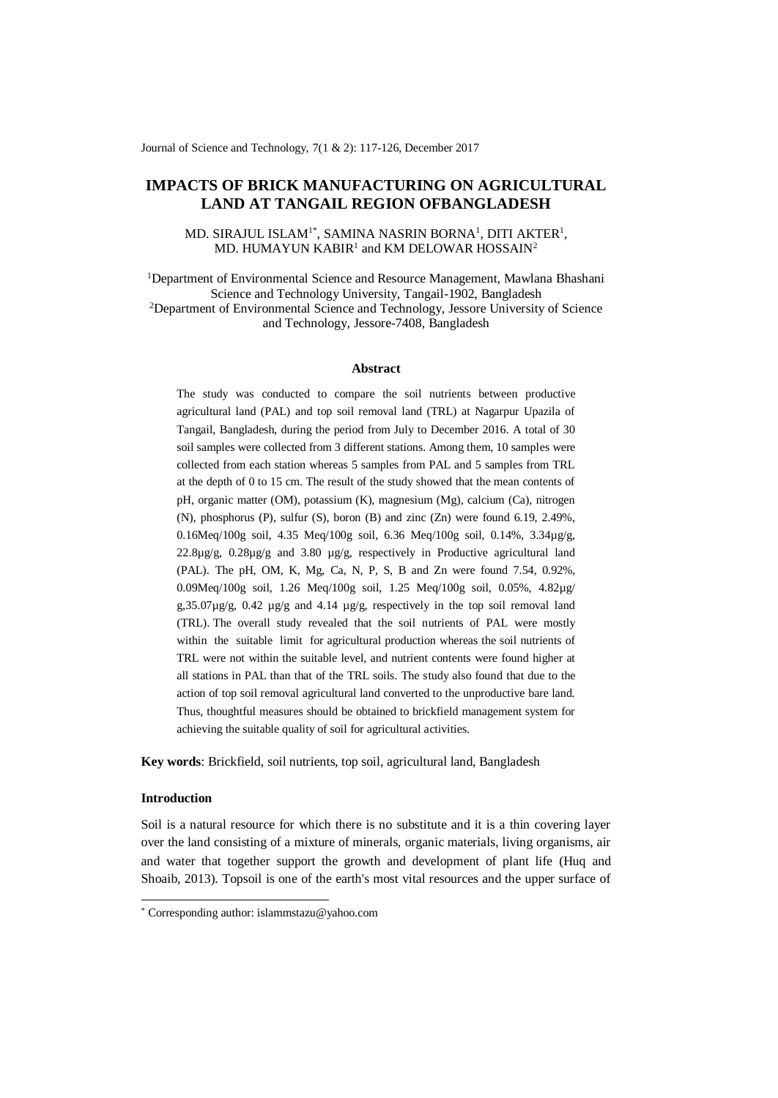Journal of Science and Technology, 7(1 & 2): 117-126, December 2017

# **IMPACTS OF BRICK MANUFACTURING ON AGRICULTURAL LAND AT TANGAIL REGION OFBANGLADESH**

# MD. SIRAJUL ISLAM $^{1*}$ , SAMINA NASRIN BORNA $^{1}$ , DITI AKTER $^{1}$ , MD. HUMAYUN  $KABIR<sup>1</sup>$  and  $KM$  DELOWAR HOSSAIN<sup>2</sup>

<sup>1</sup>Department of Environmental Science and Resource Management, Mawlana Bhashani Science and Technology University, Tangail-1902, Bangladesh <sup>2</sup>Department of Environmental Science and Technology, Jessore University of Science and Technology, Jessore-7408, Bangladesh

#### **Abstract**

The study was conducted to compare the soil nutrients between productive agricultural land (PAL) and top soil removal land (TRL) at Nagarpur Upazila of Tangail, Bangladesh, during the period from July to December 2016. A total of 30 soil samples were collected from 3 different stations. Among them, 10 samples were collected from each station whereas 5 samples from PAL and 5 samples from TRL at the depth of 0 to 15 cm. The result of the study showed that the mean contents of pH, organic matter (OM), potassium (K), magnesium (Mg), calcium (Ca), nitrogen (N), phosphorus (P), sulfur (S), boron (B) and zinc (Zn) were found 6.19, 2.49%, 0.16Meq/100g soil, 4.35 Meq/100g soil, 6.36 Meq/100g soil, 0.14%, 3.34µg/g,  $22.8\mu$ g/g,  $0.28\mu$ g/g and  $3.80\mu$ g/g, respectively in Productive agricultural land (PAL). The pH, OM, K, Mg, Ca, N, P, S, B and Zn were found 7.54, 0.92%, 0.09Meq/100g soil, 1.26 Meq/100g soil, 1.25 Meq/100g soil, 0.05%, 4.82µg/ g,35.07µg/g, 0.42 µg/g and 4.14 µg/g, respectively in the top soil removal land (TRL). The overall study revealed that the soil nutrients of PAL were mostly within the suitable limit for agricultural production whereas the soil nutrients of TRL were not within the suitable level, and nutrient contents were found higher at all stations in PAL than that of the TRL soils. The study also found that due to the action of top soil removal agricultural land converted to the unproductive bare land. Thus, thoughtful measures should be obtained to brickfield management system for achieving the suitable quality of soil for agricultural activities.

**Key words**: Brickfield, soil nutrients, top soil, agricultural land, Bangladesh

# **Introduction**

-

Soil is a natural resource for which there is no substitute and it is a thin covering layer over the land consisting of a mixture of minerals, organic materials, living organisms, air and water that together support the growth and development of plant life (Huq and Shoaib, 2013). Topsoil is one of the earth's most vital resources and the upper surface of

<sup>\*</sup> Corresponding author: islammstazu@yahoo.com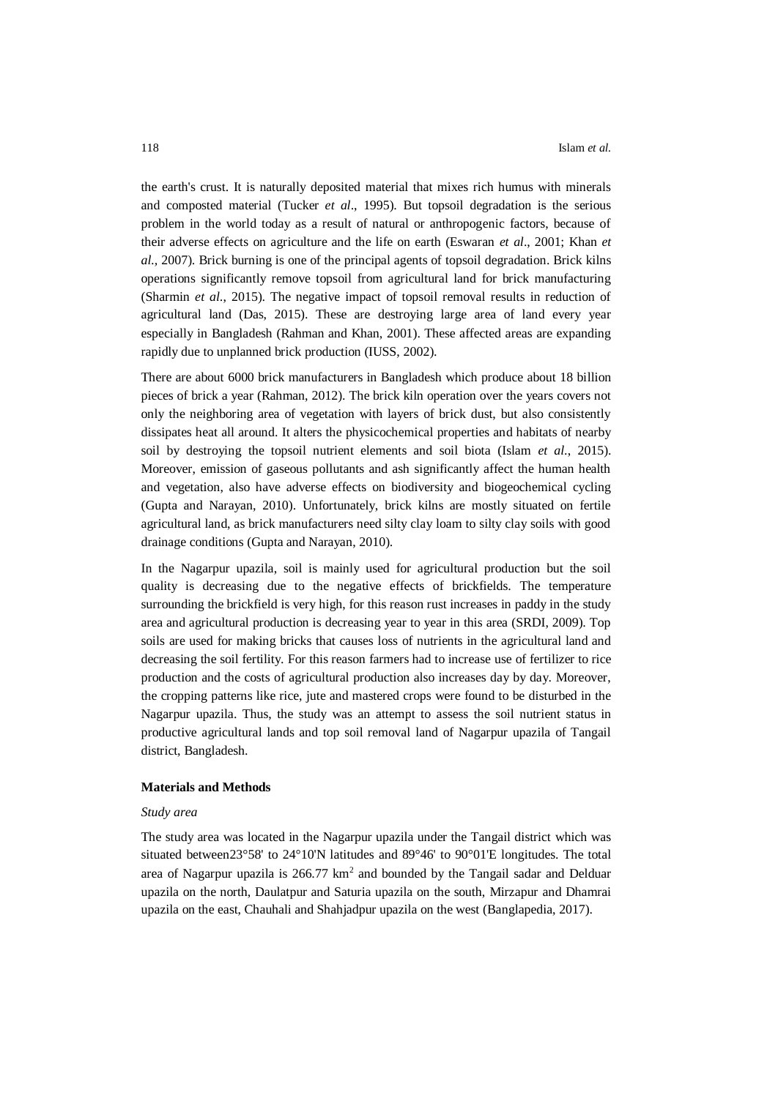the earth's crust. It is naturally deposited material that mixes rich humus with minerals and composted material (Tucker *et al*., 1995). But topsoil degradation is the serious problem in the world today as a result of natural or anthropogenic factors, because of their adverse effects on agriculture and the life on earth (Eswaran *et al*., 2001; Khan *et al.,* 2007). Brick burning is one of the principal agents of topsoil degradation. Brick kilns operations significantly remove topsoil from agricultural land for brick manufacturing (Sharmin *et al*., 2015). The negative impact of topsoil removal results in reduction of agricultural land (Das, 2015). These are destroying large area of land every year especially in Bangladesh (Rahman and Khan, 2001). These affected areas are expanding rapidly due to unplanned brick production (IUSS, 2002).

There are about 6000 brick manufacturers in Bangladesh which produce about 18 billion pieces of brick a year (Rahman, 2012). The brick kiln operation over the years covers not only the neighboring area of vegetation with layers of brick dust, but also consistently dissipates heat all around. It alters the physicochemical properties and habitats of nearby soil by destroying the topsoil nutrient elements and soil biota (Islam *et al*., 2015). Moreover, emission of gaseous pollutants and ash significantly affect the human health and vegetation, also have adverse effects on biodiversity and biogeochemical cycling (Gupta and Narayan, 2010). Unfortunately, brick kilns are mostly situated on fertile agricultural land, as brick manufacturers need silty clay loam to silty clay soils with good drainage conditions (Gupta and Narayan, 2010).

In the Nagarpur upazila, soil is mainly used for agricultural production but the soil quality is decreasing due to the negative effects of brickfields. The temperature surrounding the brickfield is very high, for this reason rust increases in paddy in the study area and agricultural production is decreasing year to year in this area (SRDI, 2009). Top soils are used for making bricks that causes loss of nutrients in the agricultural land and decreasing the soil fertility. For this reason farmers had to increase use of fertilizer to rice production and the costs of agricultural production also increases day by day. Moreover, the cropping patterns like rice, jute and mastered crops were found to be disturbed in the Nagarpur upazila. Thus, the study was an attempt to assess the soil nutrient status in productive agricultural lands and top soil removal land of Nagarpur upazila of Tangail district, Bangladesh.

#### **Materials and Methods**

#### *Study area*

The study area was located in the Nagarpur upazila under the Tangail district which was situated between23°58' to 24°10'N latitudes and 89°46' to 90°01'E longitudes. The total area of Nagarpur upazila is  $266.77 \text{ km}^2$  and bounded by the Tangail sadar and Delduar upazila on the north, Daulatpur and Saturia upazila on the south, Mirzapur and Dhamrai upazila on the east, Chauhali and Shahjadpur upazila on the west (Banglapedia, 2017).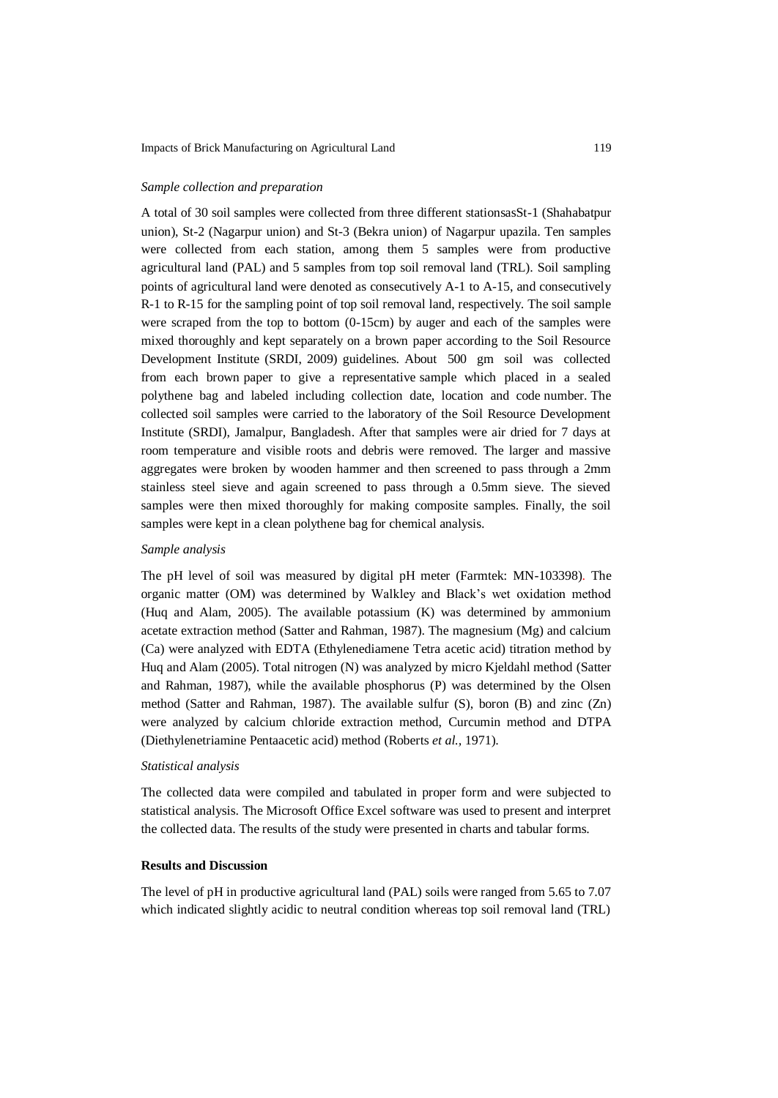## *Sample collection and preparation*

A total of 30 soil samples were collected from three different stationsasSt-1 (Shahabatpur union), St-2 (Nagarpur union) and St-3 (Bekra union) of Nagarpur upazila. Ten samples were collected from each station, among them 5 samples were from productive agricultural land (PAL) and 5 samples from top soil removal land (TRL). Soil sampling points of agricultural land were denoted as consecutively A-1 to A-15, and consecutively R-1 to R-15 for the sampling point of top soil removal land, respectively. The soil sample were scraped from the top to bottom (0-15cm) by auger and each of the samples were mixed thoroughly and kept separately on a brown paper according to the Soil Resource Development Institute (SRDI, 2009) guidelines. About 500 gm soil was collected from each brown paper to give a representative sample which placed in a sealed polythene bag and labeled including collection date, location and code number. The collected soil samples were carried to the laboratory of the Soil Resource Development Institute (SRDI), Jamalpur, Bangladesh. After that samples were air dried for 7 days at room temperature and visible roots and debris were removed. The larger and massive aggregates were broken by wooden hammer and then screened to pass through a 2mm stainless steel sieve and again screened to pass through a 0.5mm sieve. The sieved samples were then mixed thoroughly for making composite samples. Finally, the soil samples were kept in a clean polythene bag for chemical analysis.

## *Sample analysis*

The pH level of soil was measured by digital pH meter (Farmtek: MN-103398). The organic matter (OM) was determined by Walkley and Black's wet oxidation method (Huq and Alam, 2005). The available potassium (K) was determined by ammonium acetate extraction method (Satter and Rahman, 1987). The magnesium (Mg) and calcium (Ca) were analyzed with EDTA (Ethylenediamene Tetra acetic acid) titration method by Huq and Alam (2005). Total nitrogen (N) was analyzed by micro Kjeldahl method (Satter and Rahman, 1987), while the available phosphorus (P) was determined by the Olsen method (Satter and Rahman, 1987). The available sulfur (S), boron (B) and zinc (Zn) were analyzed by calcium chloride extraction method, Curcumin method and DTPA (Diethylenetriamine Pentaacetic acid) method (Roberts *et al.,* 1971).

## *Statistical analysis*

The collected data were compiled and tabulated in proper form and were subjected to statistical analysis. The Microsoft Office Excel software was used to present and interpret the collected data. The results of the study were presented in charts and tabular forms.

# **Results and Discussion**

The level of pH in productive agricultural land (PAL) soils were ranged from 5.65 to 7.07 which indicated slightly acidic to neutral condition whereas top soil removal land (TRL)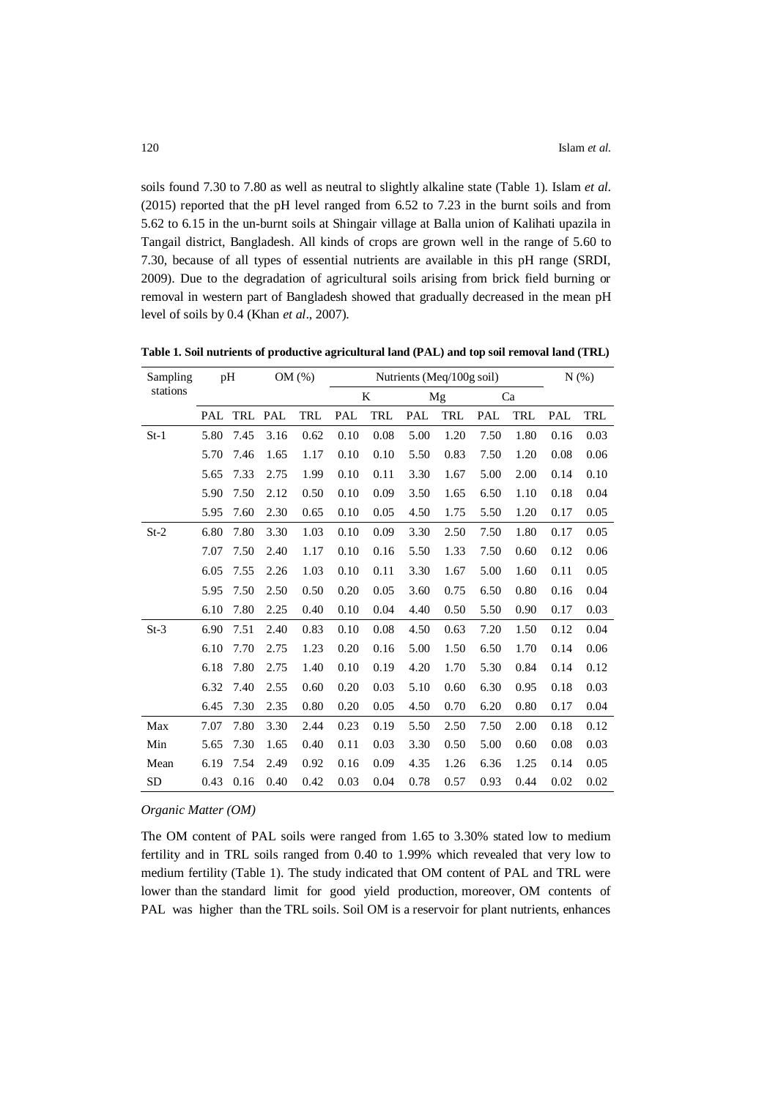soils found 7.30 to 7.80 as well as neutral to slightly alkaline state (Table 1). Islam *et al.* (2015) reported that the pH level ranged from 6.52 to 7.23 in the burnt soils and from 5.62 to 6.15 in the un-burnt soils at Shingair village at Balla union of Kalihati upazila in Tangail district, Bangladesh. All kinds of crops are grown well in the range of 5.60 to 7.30, because of all types of essential nutrients are available in this pH range (SRDI, 2009). Due to the degradation of agricultural soils arising from brick field burning or removal in western part of Bangladesh showed that gradually decreased in the mean pH level of soils by 0.4 (Khan *et al*., 2007).

| Sampling  | pH   |      | OM(%) |      | Nutrients (Meq/100g soil) |      |      |      | N(% ) |      |      |      |
|-----------|------|------|-------|------|---------------------------|------|------|------|-------|------|------|------|
| stations  |      |      |       |      | K                         |      | Mg   |      | Ca    |      |      |      |
|           | PAL  | TRL  | PAL   | TRL  | PAL                       | TRL  | PAL  | TRL  | PAL   | TRL  | PAL  | TRL  |
| $St-1$    | 5.80 | 7.45 | 3.16  | 0.62 | 0.10                      | 0.08 | 5.00 | 1.20 | 7.50  | 1.80 | 0.16 | 0.03 |
|           | 5.70 | 7.46 | 1.65  | 1.17 | 0.10                      | 0.10 | 5.50 | 0.83 | 7.50  | 1.20 | 0.08 | 0.06 |
|           | 5.65 | 7.33 | 2.75  | 1.99 | 0.10                      | 0.11 | 3.30 | 1.67 | 5.00  | 2.00 | 0.14 | 0.10 |
|           | 5.90 | 7.50 | 2.12  | 0.50 | 0.10                      | 0.09 | 3.50 | 1.65 | 6.50  | 1.10 | 0.18 | 0.04 |
|           | 5.95 | 7.60 | 2.30  | 0.65 | 0.10                      | 0.05 | 4.50 | 1.75 | 5.50  | 1.20 | 0.17 | 0.05 |
| $St-2$    | 6.80 | 7.80 | 3.30  | 1.03 | 0.10                      | 0.09 | 3.30 | 2.50 | 7.50  | 1.80 | 0.17 | 0.05 |
|           | 7.07 | 7.50 | 2.40  | 1.17 | 0.10                      | 0.16 | 5.50 | 1.33 | 7.50  | 0.60 | 0.12 | 0.06 |
|           | 6.05 | 7.55 | 2.26  | 1.03 | 0.10                      | 0.11 | 3.30 | 1.67 | 5.00  | 1.60 | 0.11 | 0.05 |
|           | 5.95 | 7.50 | 2.50  | 0.50 | 0.20                      | 0.05 | 3.60 | 0.75 | 6.50  | 0.80 | 0.16 | 0.04 |
|           | 6.10 | 7.80 | 2.25  | 0.40 | 0.10                      | 0.04 | 4.40 | 0.50 | 5.50  | 0.90 | 0.17 | 0.03 |
| $St-3$    | 6.90 | 7.51 | 2.40  | 0.83 | 0.10                      | 0.08 | 4.50 | 0.63 | 7.20  | 1.50 | 0.12 | 0.04 |
|           | 6.10 | 7.70 | 2.75  | 1.23 | 0.20                      | 0.16 | 5.00 | 1.50 | 6.50  | 1.70 | 0.14 | 0.06 |
|           | 6.18 | 7.80 | 2.75  | 1.40 | 0.10                      | 0.19 | 4.20 | 1.70 | 5.30  | 0.84 | 0.14 | 0.12 |
|           | 6.32 | 7.40 | 2.55  | 0.60 | 0.20                      | 0.03 | 5.10 | 0.60 | 6.30  | 0.95 | 0.18 | 0.03 |
|           | 6.45 | 7.30 | 2.35  | 0.80 | 0.20                      | 0.05 | 4.50 | 0.70 | 6.20  | 0.80 | 0.17 | 0.04 |
| Max       | 7.07 | 7.80 | 3.30  | 2.44 | 0.23                      | 0.19 | 5.50 | 2.50 | 7.50  | 2.00 | 0.18 | 0.12 |
| Min       | 5.65 | 7.30 | 1.65  | 0.40 | 0.11                      | 0.03 | 3.30 | 0.50 | 5.00  | 0.60 | 0.08 | 0.03 |
| Mean      | 6.19 | 7.54 | 2.49  | 0.92 | 0.16                      | 0.09 | 4.35 | 1.26 | 6.36  | 1.25 | 0.14 | 0.05 |
| <b>SD</b> | 0.43 | 0.16 | 0.40  | 0.42 | 0.03                      | 0.04 | 0.78 | 0.57 | 0.93  | 0.44 | 0.02 | 0.02 |

**Table 1. Soil nutrients of productive agricultural land (PAL) and top soil removal land (TRL)**

*Organic Matter (OM)*

The OM content of PAL soils were ranged from 1.65 to 3.30% stated low to medium fertility and in TRL soils ranged from 0.40 to 1.99% which revealed that very low to medium fertility (Table 1). The study indicated that OM content of PAL and TRL were lower than the standard limit for good yield production, moreover, OM contents of PAL was higher than the TRL soils. Soil OM is a reservoir for plant nutrients, enhances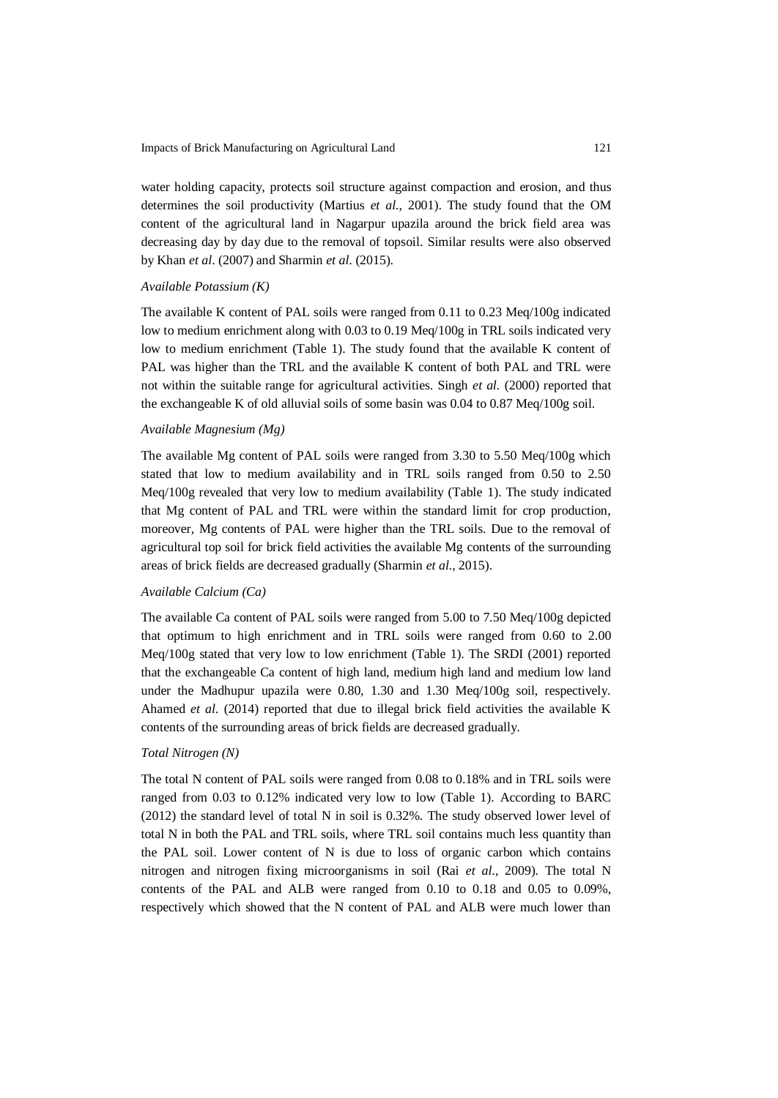water holding capacity, protects soil structure against compaction and erosion, and thus determines the soil productivity (Martius *et al*., 2001). The study found that the OM content of the agricultural land in Nagarpur upazila around the brick field area was decreasing day by day due to the removal of topsoil. Similar results were also observed by Khan *et al*. (2007) and Sharmin *et al*. (2015).

#### *Available Potassium (K)*

The available K content of PAL soils were ranged from 0.11 to 0.23 Meq/100g indicated low to medium enrichment along with 0.03 to 0.19 Meq/100g in TRL soils indicated very low to medium enrichment (Table 1). The study found that the available K content of PAL was higher than the TRL and the available K content of both PAL and TRL were not within the suitable range for agricultural activities. Singh *et al.* (2000) reported that the exchangeable K of old alluvial soils of some basin was 0.04 to 0.87 Meq/100g soil.

#### *Available Magnesium (Mg)*

The available Mg content of PAL soils were ranged from 3.30 to 5.50 Meq/100g which stated that low to medium availability and in TRL soils ranged from 0.50 to 2.50 Meq/100g revealed that very low to medium availability (Table 1). The study indicated that Mg content of PAL and TRL were within the standard limit for crop production, moreover, Mg contents of PAL were higher than the TRL soils. Due to the removal of agricultural top soil for brick field activities the available Mg contents of the surrounding areas of brick fields are decreased gradually (Sharmin *et al*., 2015).

## *Available Calcium (Ca)*

The available Ca content of PAL soils were ranged from 5.00 to 7.50 Meq/100g depicted that optimum to high enrichment and in TRL soils were ranged from 0.60 to 2.00 Meq/100g stated that very low to low enrichment (Table 1). The SRDI (2001) reported that the exchangeable Ca content of high land, medium high land and medium low land under the Madhupur upazila were 0.80, 1.30 and 1.30 Meq/100g soil, respectively. Ahamed *et al*. (2014) reported that due to illegal brick field activities the available K contents of the surrounding areas of brick fields are decreased gradually.

#### *Total Nitrogen (N)*

The total N content of PAL soils were ranged from 0.08 to 0.18% and in TRL soils were ranged from 0.03 to 0.12% indicated very low to low (Table 1). According to BARC (2012) the standard level of total N in soil is 0.32%. The study observed lower level of total N in both the PAL and TRL soils, where TRL soil contains much less quantity than the PAL soil. Lower content of N is due to loss of organic carbon which contains nitrogen and nitrogen fixing microorganisms in soil (Rai *et al*., 2009). The total N contents of the PAL and ALB were ranged from 0.10 to 0.18 and 0.05 to 0.09%, respectively which showed that the N content of PAL and ALB were much lower than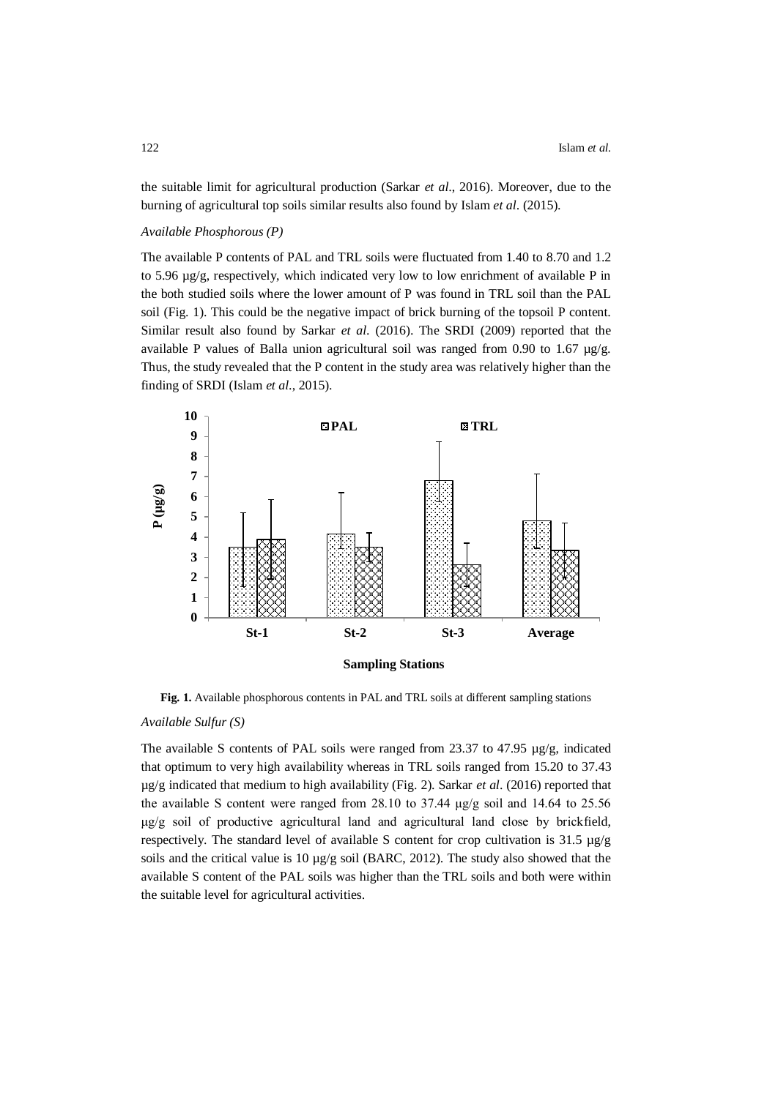the suitable limit for agricultural production (Sarkar *et al*., 2016). Moreover, due to the burning of agricultural top soils similar results also found by Islam *et al*. (2015).

## *Available Phosphorous (P)*

The available P contents of PAL and TRL soils were fluctuated from 1.40 to 8.70 and 1.2 to 5.96 µg/g, respectively, which indicated very low to low enrichment of available P in the both studied soils where the lower amount of P was found in TRL soil than the PAL soil (Fig. 1). This could be the negative impact of brick burning of the topsoil P content. Similar result also found by Sarkar *et al*. (2016). The SRDI (2009) reported that the available P values of Balla union agricultural soil was ranged from 0.90 to 1.67 µg/g. Thus, the study revealed that the P content in the study area was relatively higher than the finding of SRDI (Islam *et al*., 2015).



Fig. 1. Available phosphorous contents in PAL and TRL soils at different sampling stations

# *Available Sulfur (S)*

The available S contents of PAL soils were ranged from 23.37 to 47.95 µg/g, indicated that optimum to very high availability whereas in TRL soils ranged from 15.20 to 37.43 µg/g indicated that medium to high availability (Fig. 2). Sarkar *et al*. (2016) reported that the available S content were ranged from 28.10 to 37.44 μg/g soil and 14.64 to 25.56 μg/g soil of productive agricultural land and agricultural land close by brickfield, respectively. The standard level of available S content for crop cultivation is 31.5 µg/g soils and the critical value is 10 µg/g soil (BARC, 2012). The study also showed that the available S content of the PAL soils was higher than the TRL soils and both were within the suitable level for agricultural activities.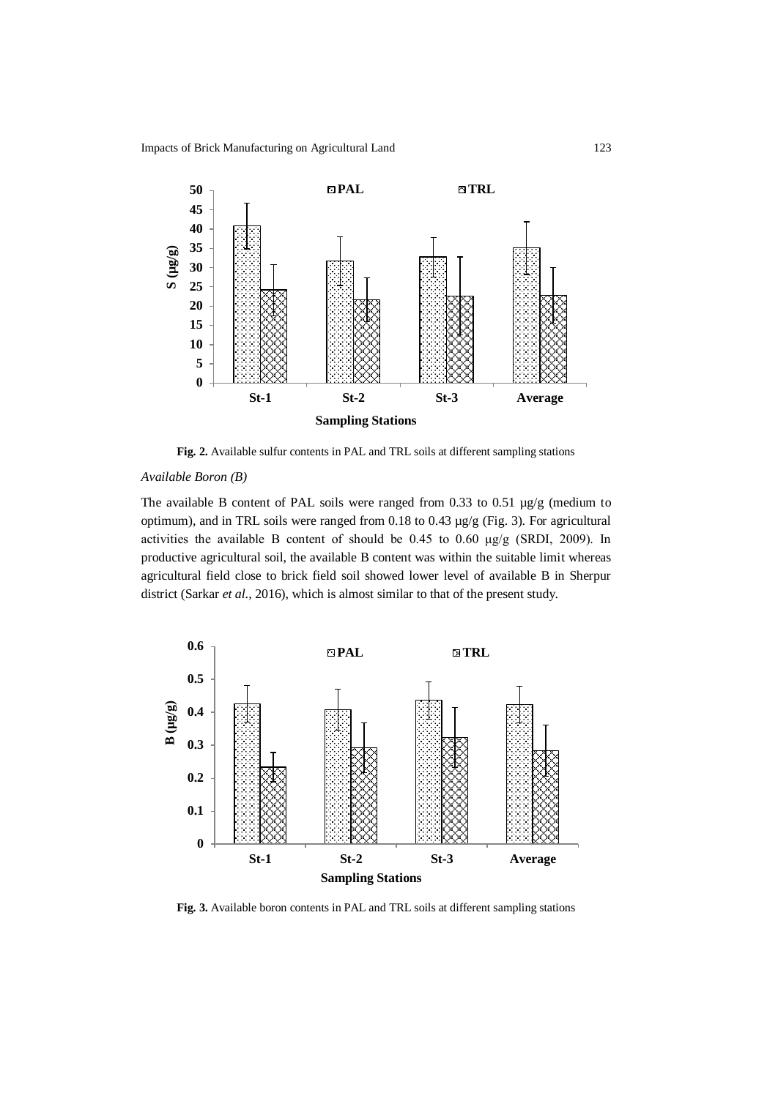Impacts of Brick Manufacturing on Agricultural Land 123



**Fig. 2.** Available sulfur contents in PAL and TRL soils at different sampling stations

# *Available Boron (B)*

The available B content of PAL soils were ranged from 0.33 to 0.51 µg/g (medium to optimum), and in TRL soils were ranged from 0.18 to 0.43 µg/g (Fig. 3). For agricultural activities the available B content of should be 0.45 to 0.60 μg/g (SRDI, 2009). In productive agricultural soil, the available B content was within the suitable limit whereas agricultural field close to brick field soil showed lower level of available B in Sherpur district (Sarkar *et al*., 2016), which is almost similar to that of the present study.



**Fig. 3.** Available boron contents in PAL and TRL soils at different sampling stations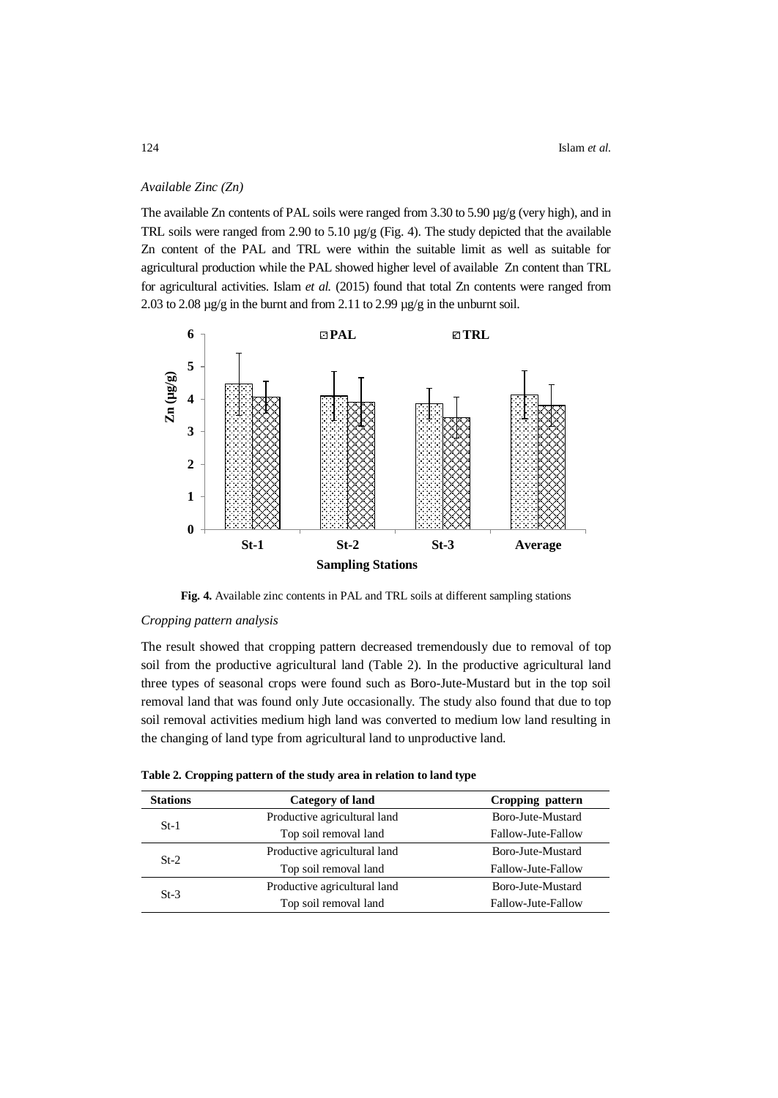## *Available Zinc (Zn)*

The available Zn contents of PAL soils were ranged from 3.30 to 5.90 µg/g (very high), and in TRL soils were ranged from 2.90 to 5.10 µg/g (Fig. 4). The study depicted that the available Zn content of the PAL and TRL were within the suitable limit as well as suitable for agricultural production while the PAL showed higher level of available Zn content than TRL for agricultural activities. Islam *et al.* (2015) found that total Zn contents were ranged from 2.03 to 2.08 µg/g in the burnt and from 2.11 to 2.99 µg/g in the unburnt soil.



**Fig. 4.** Available zinc contents in PAL and TRL soils at different sampling stations

### *Cropping pattern analysis*

The result showed that cropping pattern decreased tremendously due to removal of top soil from the productive agricultural land (Table 2). In the productive agricultural land three types of seasonal crops were found such as Boro-Jute-Mustard but in the top soil removal land that was found only Jute occasionally. The study also found that due to top soil removal activities medium high land was converted to medium low land resulting in the changing of land type from agricultural land to unproductive land.

|  |  | Table 2. Cropping pattern of the study area in relation to land type |  |  |  |  |  |
|--|--|----------------------------------------------------------------------|--|--|--|--|--|
|--|--|----------------------------------------------------------------------|--|--|--|--|--|

| <b>Stations</b> | Category of land             | Cropping pattern   |  |  |
|-----------------|------------------------------|--------------------|--|--|
| $St-1$          | Productive agricultural land | Boro-Jute-Mustard  |  |  |
|                 | Top soil removal land        | Fallow-Jute-Fallow |  |  |
| $St-2$          | Productive agricultural land | Boro-Jute-Mustard  |  |  |
|                 | Top soil removal land        | Fallow-Jute-Fallow |  |  |
| $St-3$          | Productive agricultural land | Boro-Jute-Mustard  |  |  |
|                 | Top soil removal land        | Fallow-Jute-Fallow |  |  |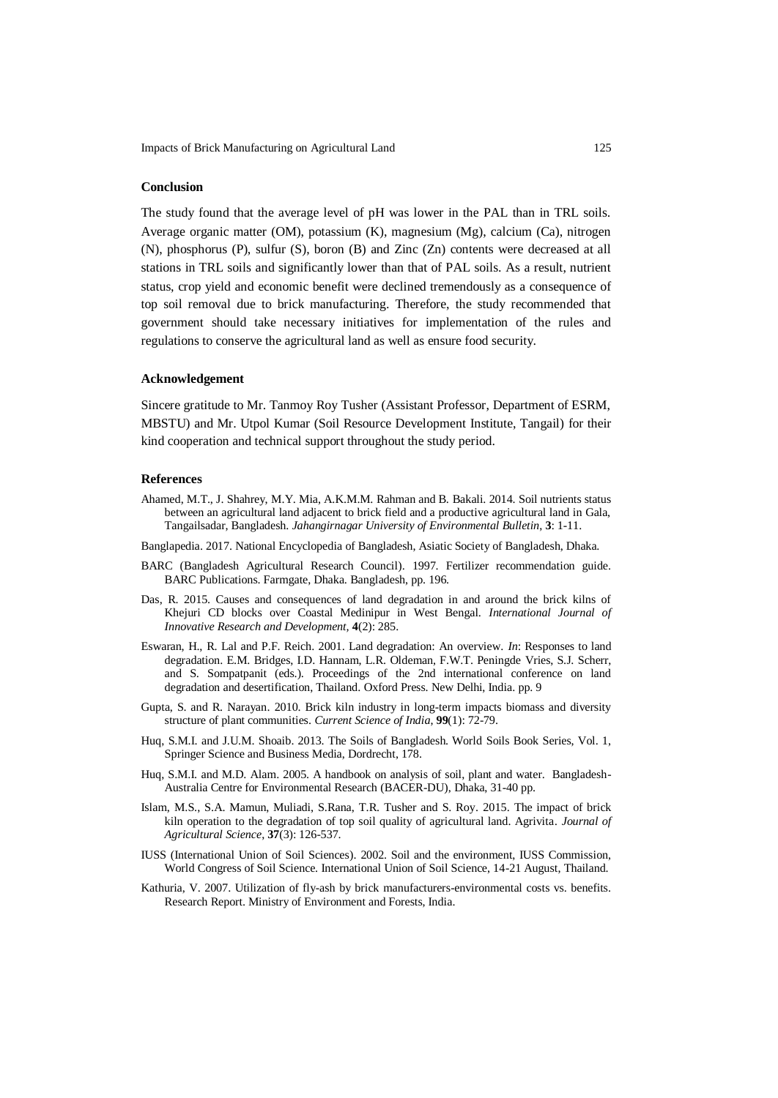# **Conclusion**

The study found that the average level of pH was lower in the PAL than in TRL soils. Average organic matter (OM), potassium (K), magnesium (Mg), calcium (Ca), nitrogen (N), phosphorus (P), sulfur (S), boron (B) and Zinc (Zn) contents were decreased at all stations in TRL soils and significantly lower than that of PAL soils. As a result, nutrient status, crop yield and economic benefit were declined tremendously as a consequence of top soil removal due to brick manufacturing. Therefore, the study recommended that government should take necessary initiatives for implementation of the rules and regulations to conserve the agricultural land as well as ensure food security.

#### **Acknowledgement**

Sincere gratitude to Mr. Tanmoy Roy Tusher (Assistant Professor, Department of ESRM, MBSTU) and Mr. Utpol Kumar (Soil Resource Development Institute, Tangail) for their kind cooperation and technical support throughout the study period.

# **References**

- Ahamed, M.T., J. Shahrey, M.Y. Mia, A.K.M.M. Rahman and B. Bakali. 2014. Soil nutrients status between an agricultural land adjacent to brick field and a productive agricultural land in Gala, Tangailsadar, Bangladesh. *Jahangirnagar University of Environmental Bulletin*, **3**: 1-11.
- Banglapedia. 2017. National Encyclopedia of Bangladesh, Asiatic Society of Bangladesh, Dhaka.
- BARC (Bangladesh Agricultural Research Council). 1997. Fertilizer recommendation guide. BARC Publications. Farmgate, Dhaka. Bangladesh, pp. 196.
- Das, R. 2015. Causes and consequences of land degradation in and around the brick kilns of Khejuri CD blocks over Coastal Medinipur in West Bengal. *International Journal of Innovative Research and Development,* **4**(2): 285.
- Eswaran, H., R. Lal and P.F. Reich. 2001. Land degradation: An overview. *In*: Responses to land degradation. E.M. Bridges, I.D. Hannam, L.R. Oldeman, F.W.T. Peningde Vries, S.J. Scherr, and S. Sompatpanit (eds.). Proceedings of the 2nd international conference on land degradation and desertification, Thailand. Oxford Press. New Delhi, India. pp. 9
- Gupta, S. and R. Narayan. 2010. Brick kiln industry in long-term impacts biomass and diversity structure of plant communities. *Current Science of India*, **99**(1): 72-79.
- Huq, S.M.I. and J.U.M. Shoaib. 2013. The Soils of Bangladesh. World Soils Book Series, Vol. 1, Springer Science and Business Media, Dordrecht, 178.
- Huq, S.M.I. and M.D. Alam. 2005. A handbook on analysis of soil, plant and water. Bangladesh-Australia Centre for Environmental Research (BACER-DU), Dhaka, 31-40 pp.
- Islam, M.S., S.A. Mamun, Muliadi, S.Rana, T.R. Tusher and S. Roy. 2015. The impact of brick kiln operation to the degradation of top soil quality of agricultural land. Agrivita*. Journal of Agricultural Science*, **37**(3): 126-537.
- IUSS (International Union of Soil Sciences). 2002. Soil and the environment, IUSS Commission, World Congress of Soil Science. International Union of Soil Science, 14-21 August, Thailand.
- Kathuria, V. 2007. Utilization of fly-ash by brick manufacturers-environmental costs vs. benefits. Research Report. Ministry of Environment and Forests, India.